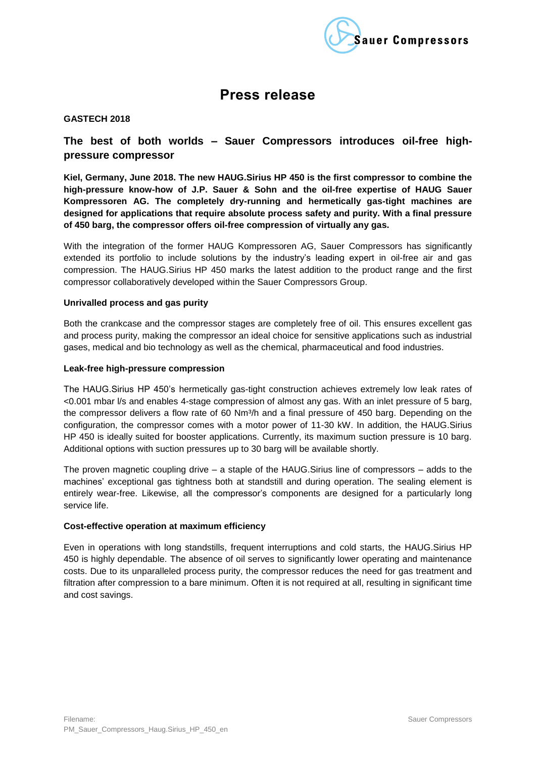

# **Press release**

#### **GASTECH 2018**

## **The best of both worlds – Sauer Compressors introduces oil-free highpressure compressor**

**Kiel, Germany, June 2018. The new HAUG.Sirius HP 450 is the first compressor to combine the high-pressure know-how of J.P. Sauer & Sohn and the oil-free expertise of HAUG Sauer Kompressoren AG. The completely dry-running and hermetically gas-tight machines are designed for applications that require absolute process safety and purity. With a final pressure of 450 barg, the compressor offers oil-free compression of virtually any gas.**

With the integration of the former HAUG Kompressoren AG, Sauer Compressors has significantly extended its portfolio to include solutions by the industry's leading expert in oil-free air and gas compression. The HAUG.Sirius HP 450 marks the latest addition to the product range and the first compressor collaboratively developed within the Sauer Compressors Group.

#### **Unrivalled process and gas purity**

Both the crankcase and the compressor stages are completely free of oil. This ensures excellent gas and process purity, making the compressor an ideal choice for sensitive applications such as industrial gases, medical and bio technology as well as the chemical, pharmaceutical and food industries.

#### **Leak-free high-pressure compression**

The HAUG.Sirius HP 450's hermetically gas-tight construction achieves extremely low leak rates of <0.001 mbar l/s and enables 4-stage compression of almost any gas. With an inlet pressure of 5 barg, the compressor delivers a flow rate of 60 Nm<sup>3</sup>/h and a final pressure of 450 barg. Depending on the configuration, the compressor comes with a motor power of 11-30 kW. In addition, the HAUG.Sirius HP 450 is ideally suited for booster applications. Currently, its maximum suction pressure is 10 barg. Additional options with suction pressures up to 30 barg will be available shortly.

The proven magnetic coupling drive – a staple of the HAUG.Sirius line of compressors – adds to the machines' exceptional gas tightness both at standstill and during operation. The sealing element is entirely wear-free. Likewise, all the compressor's components are designed for a particularly long service life.

#### **Cost-effective operation at maximum efficiency**

Even in operations with long standstills, frequent interruptions and cold starts, the HAUG.Sirius HP 450 is highly dependable. The absence of oil serves to significantly lower operating and maintenance costs. Due to its unparalleled process purity, the compressor reduces the need for gas treatment and filtration after compression to a bare minimum. Often it is not required at all, resulting in significant time and cost savings.